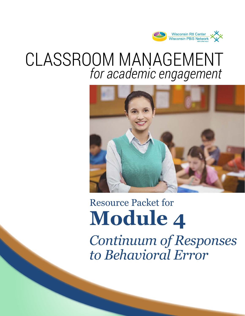

# CLASSROOM MANAGEMENT *for academic engagement*



# *Continuum of Responses* Resource Packet for **Module 4**

*to Behavioral Error*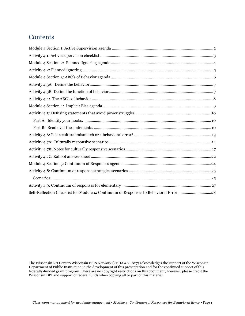## **Contents**

| Self-Reflection Checklist for Module 4: Continuum of Responses to Behavioral Error28 |  |
|--------------------------------------------------------------------------------------|--|

The Wisconsin RtI Center/Wisconsin PBIS Network (CFDA #84.027) acknowledges the support of the Wisconsin Department of Public Instruction in the development of this presentation and for the continued support of this federally-funded grant program. There are no copyright restrictions on this document; however, please credit the Wisconsin DPI and support of federal funds when copying all or part of this material.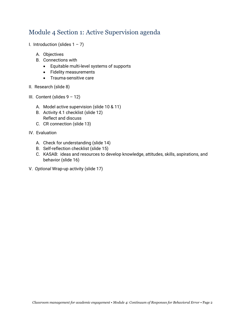## <span id="page-2-0"></span>Module 4 Section 1: Active Supervision agenda

- I. Introduction (slides  $1 7$ )
	- A. Objectives
	- B. Connections with
		- Equitable multi-level systems of supports
		- Fidelity measurements
		- Trauma-sensitive care
- II. Research (slide 8)
- III. Content (slides 9 12)
	- A. Model active supervision (slide 10 & 11)
	- B. Activity 4.1 checklist (slide 12) Reflect and discuss
	- C. CR connection (slide 13)
- IV. Evaluation
	- A. Check for understanding (slide 14)
	- B. Self-reflection checklist (slide 15)
	- C. KASAB: ideas and resources to develop knowledge, attitudes, skills, aspirations, and behavior (slide 16)
- V. *Optional* Wrap-up activity (slide 17)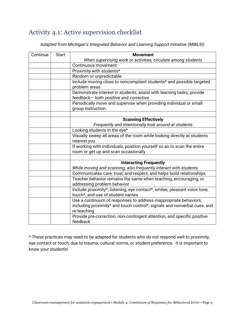# <span id="page-3-0"></span>Activity 4.1: Active supervision checklist

*Adapted from Michigan's Integrated Behavior and Learning Support Initiative (MIBLSI)*

| Continue | <b>Start</b><br><b>Movement</b> |                                                                           |  |  |
|----------|---------------------------------|---------------------------------------------------------------------------|--|--|
|          |                                 | When supervising work or activities, circulate among students             |  |  |
|          |                                 | Continuous movement                                                       |  |  |
|          |                                 | Proximity with students*                                                  |  |  |
|          |                                 | Random or unpredictable                                                   |  |  |
|          |                                 | Include moving close to noncompliant students* and possible targeted      |  |  |
|          |                                 | problem areas                                                             |  |  |
|          |                                 | Demonstrate interest in students, assist with learning tasks, provide     |  |  |
|          |                                 | feedback- both positive and corrective                                    |  |  |
|          |                                 | Periodically move and supervise when providing individual or small        |  |  |
|          |                                 | group instruction                                                         |  |  |
|          |                                 |                                                                           |  |  |
|          |                                 | <b>Scanning Effectively</b>                                               |  |  |
|          |                                 | Frequently and intentionally look around at students                      |  |  |
|          |                                 | Looking students in the eye*                                              |  |  |
|          |                                 | Visually sweep all areas of the room while looking directly at students   |  |  |
|          |                                 | nearest you                                                               |  |  |
|          |                                 | If working with individuals, position yourself so as to scan the entire   |  |  |
|          |                                 | room or get up and scan occasionally                                      |  |  |
|          |                                 |                                                                           |  |  |
|          |                                 | <b>Interacting Frequently</b>                                             |  |  |
|          |                                 | While moving and scanning, also frequently interact with students         |  |  |
|          |                                 | Communicates care, trust, and respect, and helps build relationships      |  |  |
|          |                                 | Teacher behavior remains the same when teaching, encouraging, or          |  |  |
|          |                                 | addressing problem behavior                                               |  |  |
|          |                                 | Include proximity*, listening, eye contact*, smiles, pleasant voice tone, |  |  |
|          |                                 | touch*, and use of student names                                          |  |  |
|          |                                 | Use a continuum of responses to address inappropriate behaviors,          |  |  |
|          |                                 | including proximity* and touch control*, signals and nonverbal cues, and  |  |  |
|          |                                 | re-teaching                                                               |  |  |
|          |                                 | Provide pre-correction, non-contingent attention, and specific positive   |  |  |
|          |                                 | feedback                                                                  |  |  |

\* These practices may need to be adapted for students who do not respond well to proximity, eye contact or touch, due to trauma, cultural norms, or student preference. It is important to know your students!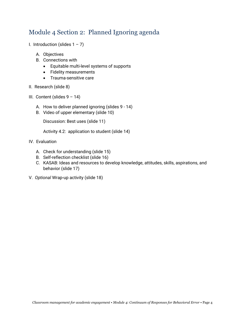## <span id="page-4-0"></span>Module 4 Section 2: Planned Ignoring agenda

- I. Introduction (slides  $1 7$ )
	- A. Objectives
	- B. Connections with
		- Equitable multi-level systems of supports
		- Fidelity measurements
		- Trauma-sensitive care
- II. Research (slide 8)
- III. Content (slides 9 14)
	- A. How to deliver planned ignoring (slides 9 14)
	- B. Video of upper elementary (slide 10)

Discussion: Best uses (slide 11)

Activity 4.2: application to student (slide 14)

- IV. Evaluation
	- A. Check for understanding (slide 15)
	- B. Self-reflection checklist (slide 16)
	- C. KASAB: Ideas and resources to develop knowledge, attitudes, skills, aspirations, and behavior (slide 17)
- V. *Optional* Wrap-up activity (slide 18)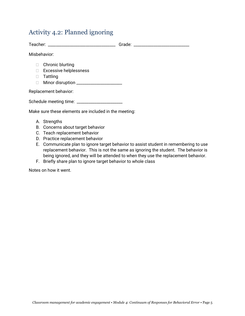## <span id="page-5-0"></span>Activity 4.2: Planned ignoring

Teacher: \_\_\_\_\_\_\_\_\_\_\_\_\_\_\_\_\_\_\_\_\_\_\_\_\_\_\_\_\_\_\_\_\_\_ Grade: \_\_\_\_\_\_\_\_\_\_\_\_\_\_\_\_\_\_\_\_\_\_\_\_\_\_\_\_

Misbehavior:

- $\Box$  Chronic blurting
- □ Excessive helplessness
- **Tattling**
- Minor disruption \_\_\_\_\_\_\_\_\_\_\_\_\_\_\_\_\_\_\_\_\_\_\_

Replacement behavior:

Schedule meeting time: \_\_\_\_\_\_\_\_\_\_\_\_\_\_\_\_\_\_\_\_\_\_\_

Make sure these elements are included in the meeting:

- A. Strengths
- B. Concerns about target behavior
- C. Teach replacement behavior
- D. Practice replacement behavior
- E. Communicate plan to ignore target behavior to assist student in remembering to use replacement behavior. This is not the same as ignoring the student. The behavior is being ignored, and they will be attended to when they use the replacement behavior.
- F. Briefly share plan to ignore target behavior to whole class

Notes on how it went.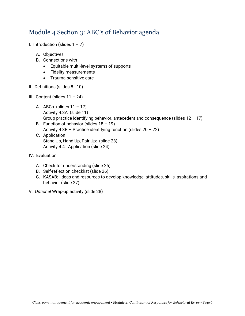## <span id="page-6-0"></span>Module 4 Section 3: ABC's of Behavior agenda

- I. Introduction (slides  $1 7$ )
	- A. Objectives
	- B. Connections with
		- Equitable multi-level systems of supports
		- Fidelity measurements
		- Trauma-sensitive care
- II. Definitions (slides 8 10)
- III. Content (slides 11 24)
	- A. ABCs (slides  $11 17$ ) Activity 4.3A (slide 11) Group practice identifying behavior, antecedent and consequence (slides  $12 - 17$ )
	- B. Function of behavior (slides  $18 19$ ) Activity  $4.3B$  – Practice identifying function (slides  $20 - 22$ )
	- C. Application Stand Up, Hand Up, Pair Up: (slide 23) Activity 4.4: Application (slide 24)
- IV. Evaluation
	- A. Check for understanding (slide 25)
	- B. Self-reflection checklist (slide 26)
	- C. KASAB: Ideas and resources to develop knowledge, attitudes, skills, aspirations and behavior (slide 27)
- V. *Optional* Wrap-up activity (slide 28)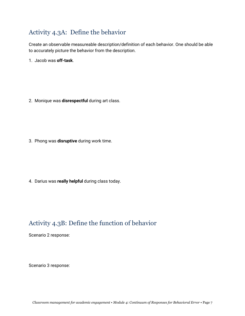# <span id="page-7-0"></span>Activity 4.3A: Define the behavior

Create an observable measureable description/definition of each behavior. One should be able to accurately picture the behavior from the description.

1. Jacob was **off-task**.

2. Monique was **disrespectful** during art class.

3. Phong was **disruptive** during work time.

4. Darius was **really helpful** during class today.

## <span id="page-7-1"></span>Activity 4.3B: Define the function of behavior

Scenario 2 response:

Scenario 3 response: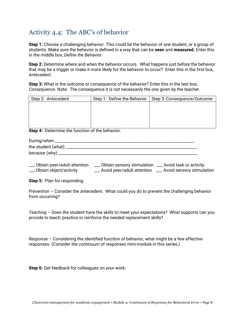# <span id="page-8-0"></span>Activity 4.4: The ABC's of behavior

**Step 1:** Choose a challenging behavior. This could be the behavior of one student, or a group of students. Make sure the behavior is defined in a way that can be **seen** and **measured.** Enter this in the middle box, *Define the Behavior.*

**Step 2:** Determine where and when the behavior occurs. What happens just before the behavior that may be a trigger or make it more likely for the behavior to occur? Enter this in the first box, *Antecedent.*

**Step 3:** What is the outcome or consequence of the behavior? Enter this in the last box, *Consequence*. Note: The consequence it is not necessarily the one given by the teacher.

| Step 2: Antecedent | Step 1: Define the Behavior | Step 3: Consequence/Outcome |
|--------------------|-----------------------------|-----------------------------|
|                    |                             |                             |
|                    |                             |                             |
|                    |                             |                             |
|                    |                             |                             |
|                    |                             |                             |

**Step 4:** Determine the function of the behavior:

| During/when        |
|--------------------|
| the student (what) |
| because (why)      |

| __ Obtain peer/adult attention | Obtain sensory stimulation    | __ Avoid task or activity    |
|--------------------------------|-------------------------------|------------------------------|
| __ Obtain object/activity      | __ Avoid peer/adult attention | __ Avoid sensory stimulation |

**Step 5:** Plan for responding

*Prevention* – Consider the antecedent. What could you do to prevent the challenging behavior from occurring?

*Teaching* – Does the student have the skills to meet your expectations? What supports can you provide to teach, practice or reinforce the needed replacement skills?

*Response* – Considering the identified function of behavior, what might be a few effective responses. (Consider the continuum of responses mini-module in this series.)

**Step 6:** Get feedback for colleagues on your work.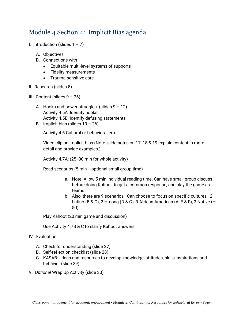# <span id="page-9-0"></span>Module 4 Section 4: Implicit Bias agenda

- I. Introduction (slides  $1 7$ )
	- A. Objectives
	- B. Connections with
		- Equitable multi-level systems of supports
		- Fidelity measurements
		- Trauma-sensitive care
- II. Research (slides 8)
- III. Content (slides  $9 26$ )
	- A. Hooks and power struggles (slides  $9 12$ ) Activity 4.5A Identify hooks Activity 4.5B Identify defusing statements
	- B. Implicit bias (slides  $13 26$ )

Activity 4.6 Cultural or behavioral error

Video clip on implicit bias (Note: slide notes on 17, 18 & 19 explain content in more detail and provide examples.)

Activity 4.7A: (25 -30 min for whole activity)

Read scenarios (5 min + optional small group time)

- a. Note: Allow 5 min individual reading time. Can have small group discuss before doing Kahoot, to get a common response, and play the game as teams.
- b. Also, there are 9 scenarios. Can choose to focus on specific cultures. 2 Latino (B & C), 2 Hmong (D & G), 3 African American (A, E & F), 2 Native (H & I).

Play Kahoot (20 min game and discussion)

Use Activity 4.7B & C to clarify Kahoot answers.

#### IV. Evaluation

- A. Check for understanding (slide 27)
- B. Self-reflection checklist (slide 28)
- C. KASAB: Ideas and resources to develop knowledge, attitudes, skills, aspirations and behavior (slide 29)
- V. *Optional* Wrap Up Activity (slide 30)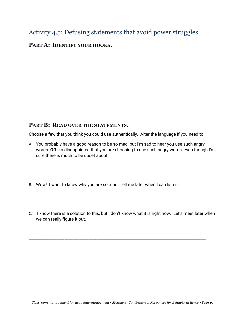## <span id="page-10-0"></span>Activity 4.5: Defusing statements that avoid power struggles

## <span id="page-10-1"></span>**PART A: IDENTIFY YOUR HOOKS.**

## <span id="page-10-2"></span>**PART B: READ OVER THE STATEMENTS.**

Choose a few that you think you could use authentically. Alter the language if you need to.

\_\_\_\_\_\_\_\_\_\_\_\_\_\_\_\_\_\_\_\_\_\_\_\_\_\_\_\_\_\_\_\_\_\_\_\_\_\_\_\_\_\_\_\_\_\_\_\_\_\_\_\_\_\_\_\_\_\_\_\_\_\_\_\_\_\_\_\_\_\_\_\_\_\_\_\_\_\_\_\_\_\_\_\_\_\_\_\_\_

\_\_\_\_\_\_\_\_\_\_\_\_\_\_\_\_\_\_\_\_\_\_\_\_\_\_\_\_\_\_\_\_\_\_\_\_\_\_\_\_\_\_\_\_\_\_\_\_\_\_\_\_\_\_\_\_\_\_\_\_\_\_\_\_\_\_\_\_\_\_\_\_\_\_\_\_\_\_\_\_\_\_\_\_\_\_\_\_\_

\_\_\_\_\_\_\_\_\_\_\_\_\_\_\_\_\_\_\_\_\_\_\_\_\_\_\_\_\_\_\_\_\_\_\_\_\_\_\_\_\_\_\_\_\_\_\_\_\_\_\_\_\_\_\_\_\_\_\_\_\_\_\_\_\_\_\_\_\_\_\_\_\_\_\_\_\_\_\_\_\_\_\_\_\_\_\_\_\_

\_\_\_\_\_\_\_\_\_\_\_\_\_\_\_\_\_\_\_\_\_\_\_\_\_\_\_\_\_\_\_\_\_\_\_\_\_\_\_\_\_\_\_\_\_\_\_\_\_\_\_\_\_\_\_\_\_\_\_\_\_\_\_\_\_\_\_\_\_\_\_\_\_\_\_\_\_\_\_\_\_\_\_\_\_\_\_\_\_

\_\_\_\_\_\_\_\_\_\_\_\_\_\_\_\_\_\_\_\_\_\_\_\_\_\_\_\_\_\_\_\_\_\_\_\_\_\_\_\_\_\_\_\_\_\_\_\_\_\_\_\_\_\_\_\_\_\_\_\_\_\_\_\_\_\_\_\_\_\_\_\_\_\_\_\_\_\_\_\_\_\_\_\_\_\_\_\_\_

\_\_\_\_\_\_\_\_\_\_\_\_\_\_\_\_\_\_\_\_\_\_\_\_\_\_\_\_\_\_\_\_\_\_\_\_\_\_\_\_\_\_\_\_\_\_\_\_\_\_\_\_\_\_\_\_\_\_\_\_\_\_\_\_\_\_\_\_\_\_\_\_\_\_\_\_\_\_\_\_\_\_\_\_\_\_\_\_\_

A. You probably have a good reason to be so mad, but I'm sad to hear you use such angry words. **OR** I'm disappointed that you are choosing to use such angry words, even though I'm sure there is much to be upset about.

B. Wow! I want to know why you are so mad. Tell me later when I can listen.

C. I know there is a solution to this, but I don't know what it is right now. Let's meet later when we can really figure it out.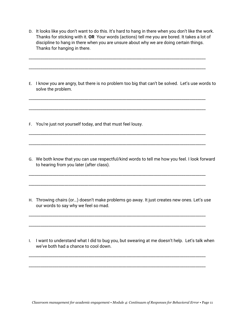D. It looks like you don't want to do this. It's hard to hang in there when you don't like the work. Thanks for sticking with it. **OR** Your words (actions) tell me you are bored. It takes a lot of discipline to hang in there when you are unsure about why we are doing certain things. Thanks for hanging in there.

\_\_\_\_\_\_\_\_\_\_\_\_\_\_\_\_\_\_\_\_\_\_\_\_\_\_\_\_\_\_\_\_\_\_\_\_\_\_\_\_\_\_\_\_\_\_\_\_\_\_\_\_\_\_\_\_\_\_\_\_\_\_\_\_\_\_\_\_\_\_\_\_\_\_\_\_\_\_\_\_\_\_\_\_\_\_\_\_\_

\_\_\_\_\_\_\_\_\_\_\_\_\_\_\_\_\_\_\_\_\_\_\_\_\_\_\_\_\_\_\_\_\_\_\_\_\_\_\_\_\_\_\_\_\_\_\_\_\_\_\_\_\_\_\_\_\_\_\_\_\_\_\_\_\_\_\_\_\_\_\_\_\_\_\_\_\_\_\_\_\_\_\_\_\_\_\_\_\_

\_\_\_\_\_\_\_\_\_\_\_\_\_\_\_\_\_\_\_\_\_\_\_\_\_\_\_\_\_\_\_\_\_\_\_\_\_\_\_\_\_\_\_\_\_\_\_\_\_\_\_\_\_\_\_\_\_\_\_\_\_\_\_\_\_\_\_\_\_\_\_\_\_\_\_\_\_\_\_\_\_\_\_\_\_\_\_\_\_

\_\_\_\_\_\_\_\_\_\_\_\_\_\_\_\_\_\_\_\_\_\_\_\_\_\_\_\_\_\_\_\_\_\_\_\_\_\_\_\_\_\_\_\_\_\_\_\_\_\_\_\_\_\_\_\_\_\_\_\_\_\_\_\_\_\_\_\_\_\_\_\_\_\_\_\_\_\_\_\_\_\_\_\_\_\_\_\_\_

\_\_\_\_\_\_\_\_\_\_\_\_\_\_\_\_\_\_\_\_\_\_\_\_\_\_\_\_\_\_\_\_\_\_\_\_\_\_\_\_\_\_\_\_\_\_\_\_\_\_\_\_\_\_\_\_\_\_\_\_\_\_\_\_\_\_\_\_\_\_\_\_\_\_\_\_\_\_\_\_\_\_\_\_\_\_\_\_\_

\_\_\_\_\_\_\_\_\_\_\_\_\_\_\_\_\_\_\_\_\_\_\_\_\_\_\_\_\_\_\_\_\_\_\_\_\_\_\_\_\_\_\_\_\_\_\_\_\_\_\_\_\_\_\_\_\_\_\_\_\_\_\_\_\_\_\_\_\_\_\_\_\_\_\_\_\_\_\_\_\_\_\_\_\_\_\_\_\_

\_\_\_\_\_\_\_\_\_\_\_\_\_\_\_\_\_\_\_\_\_\_\_\_\_\_\_\_\_\_\_\_\_\_\_\_\_\_\_\_\_\_\_\_\_\_\_\_\_\_\_\_\_\_\_\_\_\_\_\_\_\_\_\_\_\_\_\_\_\_\_\_\_\_\_\_\_\_\_\_\_\_\_\_\_\_\_\_\_

\_\_\_\_\_\_\_\_\_\_\_\_\_\_\_\_\_\_\_\_\_\_\_\_\_\_\_\_\_\_\_\_\_\_\_\_\_\_\_\_\_\_\_\_\_\_\_\_\_\_\_\_\_\_\_\_\_\_\_\_\_\_\_\_\_\_\_\_\_\_\_\_\_\_\_\_\_\_\_\_\_\_\_\_\_\_\_\_\_

- E. I know you are angry, but there is no problem too big that can't be solved. Let's use words to solve the problem.
- F. You're just not yourself today, and that must feel lousy.
- G. We both know that you can use respectful/kind words to tell me how you feel. I look forward to hearing from you later (after class).
- H. Throwing chairs (or…) doesn't make problems go away. It just creates new ones. Let's use our words to say why we feel so mad.

\_\_\_\_\_\_\_\_\_\_\_\_\_\_\_\_\_\_\_\_\_\_\_\_\_\_\_\_\_\_\_\_\_\_\_\_\_\_\_\_\_\_\_\_\_\_\_\_\_\_\_\_\_\_\_\_\_\_\_\_\_\_\_\_\_\_\_\_\_\_\_\_\_\_\_\_\_\_\_\_\_\_\_\_\_\_\_\_\_

\_\_\_\_\_\_\_\_\_\_\_\_\_\_\_\_\_\_\_\_\_\_\_\_\_\_\_\_\_\_\_\_\_\_\_\_\_\_\_\_\_\_\_\_\_\_\_\_\_\_\_\_\_\_\_\_\_\_\_\_\_\_\_\_\_\_\_\_\_\_\_\_\_\_\_\_\_\_\_\_\_\_\_\_\_\_\_\_\_

\_\_\_\_\_\_\_\_\_\_\_\_\_\_\_\_\_\_\_\_\_\_\_\_\_\_\_\_\_\_\_\_\_\_\_\_\_\_\_\_\_\_\_\_\_\_\_\_\_\_\_\_\_\_\_\_\_\_\_\_\_\_\_\_\_\_\_\_\_\_\_\_\_\_\_\_\_\_\_\_\_\_\_\_\_\_\_\_\_

\_\_\_\_\_\_\_\_\_\_\_\_\_\_\_\_\_\_\_\_\_\_\_\_\_\_\_\_\_\_\_\_\_\_\_\_\_\_\_\_\_\_\_\_\_\_\_\_\_\_\_\_\_\_\_\_\_\_\_\_\_\_\_\_\_\_\_\_\_\_\_\_\_\_\_\_\_\_\_\_\_\_\_\_\_\_\_\_\_

I. I want to understand what I did to bug you, but swearing at me doesn't help. Let's talk when we've both had a chance to cool down.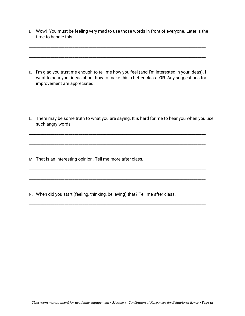J. Wow! You must be feeling very mad to use those words in front of everyone. Later is the time to handle this.

\_\_\_\_\_\_\_\_\_\_\_\_\_\_\_\_\_\_\_\_\_\_\_\_\_\_\_\_\_\_\_\_\_\_\_\_\_\_\_\_\_\_\_\_\_\_\_\_\_\_\_\_\_\_\_\_\_\_\_\_\_\_\_\_\_\_\_\_\_\_\_\_\_\_\_\_\_\_\_\_\_\_\_\_\_\_\_\_\_

\_\_\_\_\_\_\_\_\_\_\_\_\_\_\_\_\_\_\_\_\_\_\_\_\_\_\_\_\_\_\_\_\_\_\_\_\_\_\_\_\_\_\_\_\_\_\_\_\_\_\_\_\_\_\_\_\_\_\_\_\_\_\_\_\_\_\_\_\_\_\_\_\_\_\_\_\_\_\_\_\_\_\_\_\_\_\_\_\_

K. I'm glad you trust me enough to tell me how you feel (and I'm interested in your ideas). I want to hear your ideas about how to make this a better class. **OR** Any suggestions for improvement are appreciated.

\_\_\_\_\_\_\_\_\_\_\_\_\_\_\_\_\_\_\_\_\_\_\_\_\_\_\_\_\_\_\_\_\_\_\_\_\_\_\_\_\_\_\_\_\_\_\_\_\_\_\_\_\_\_\_\_\_\_\_\_\_\_\_\_\_\_\_\_\_\_\_\_\_\_\_\_\_\_\_\_\_\_\_\_\_\_\_\_\_

\_\_\_\_\_\_\_\_\_\_\_\_\_\_\_\_\_\_\_\_\_\_\_\_\_\_\_\_\_\_\_\_\_\_\_\_\_\_\_\_\_\_\_\_\_\_\_\_\_\_\_\_\_\_\_\_\_\_\_\_\_\_\_\_\_\_\_\_\_\_\_\_\_\_\_\_\_\_\_\_\_\_\_\_\_\_\_\_\_

\_\_\_\_\_\_\_\_\_\_\_\_\_\_\_\_\_\_\_\_\_\_\_\_\_\_\_\_\_\_\_\_\_\_\_\_\_\_\_\_\_\_\_\_\_\_\_\_\_\_\_\_\_\_\_\_\_\_\_\_\_\_\_\_\_\_\_\_\_\_\_\_\_\_\_\_\_\_\_\_\_\_\_\_\_\_\_\_\_

\_\_\_\_\_\_\_\_\_\_\_\_\_\_\_\_\_\_\_\_\_\_\_\_\_\_\_\_\_\_\_\_\_\_\_\_\_\_\_\_\_\_\_\_\_\_\_\_\_\_\_\_\_\_\_\_\_\_\_\_\_\_\_\_\_\_\_\_\_\_\_\_\_\_\_\_\_\_\_\_\_\_\_\_\_\_\_\_\_

\_\_\_\_\_\_\_\_\_\_\_\_\_\_\_\_\_\_\_\_\_\_\_\_\_\_\_\_\_\_\_\_\_\_\_\_\_\_\_\_\_\_\_\_\_\_\_\_\_\_\_\_\_\_\_\_\_\_\_\_\_\_\_\_\_\_\_\_\_\_\_\_\_\_\_\_\_\_\_\_\_\_\_\_\_\_\_\_\_

\_\_\_\_\_\_\_\_\_\_\_\_\_\_\_\_\_\_\_\_\_\_\_\_\_\_\_\_\_\_\_\_\_\_\_\_\_\_\_\_\_\_\_\_\_\_\_\_\_\_\_\_\_\_\_\_\_\_\_\_\_\_\_\_\_\_\_\_\_\_\_\_\_\_\_\_\_\_\_\_\_\_\_\_\_\_\_\_\_

\_\_\_\_\_\_\_\_\_\_\_\_\_\_\_\_\_\_\_\_\_\_\_\_\_\_\_\_\_\_\_\_\_\_\_\_\_\_\_\_\_\_\_\_\_\_\_\_\_\_\_\_\_\_\_\_\_\_\_\_\_\_\_\_\_\_\_\_\_\_\_\_\_\_\_\_\_\_\_\_\_\_\_\_\_\_\_\_\_

\_\_\_\_\_\_\_\_\_\_\_\_\_\_\_\_\_\_\_\_\_\_\_\_\_\_\_\_\_\_\_\_\_\_\_\_\_\_\_\_\_\_\_\_\_\_\_\_\_\_\_\_\_\_\_\_\_\_\_\_\_\_\_\_\_\_\_\_\_\_\_\_\_\_\_\_\_\_\_\_\_\_\_\_\_\_\_\_\_

L. There may be some truth to what you are saying. It is hard for me to hear you when you use such angry words.

M. That is an interesting opinion. Tell me more after class.

N. When did you start (feeling, thinking, believing) that? Tell me after class.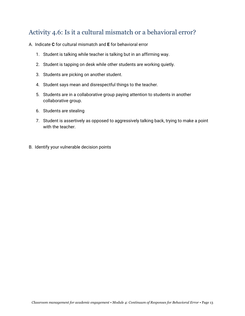# <span id="page-13-0"></span>Activity 4.6: Is it a cultural mismatch or a behavioral error?

- A. Indicate **C** for cultural mismatch and **E** for behavioral error
	- 1. Student is talking while teacher is talking but in an affirming way.
	- 2. Student is tapping on desk while other students are working quietly.
	- 3. Students are picking on another student.
	- 4. Student says mean and disrespectful things to the teacher.
	- 5. Students are in a collaborative group paying attention to students in another collaborative group.
	- 6. Students are stealing
	- 7. Student is assertively as opposed to aggressively talking back, trying to make a point with the teacher.
- B. Identify your vulnerable decision points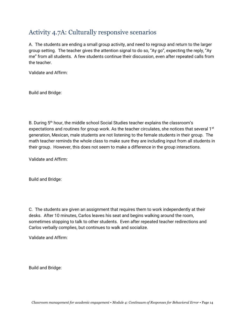# <span id="page-14-0"></span>Activity 4.7A: Culturally responsive scenarios

A. The students are ending a small group activity, and need to regroup and return to the larger group setting. The teacher gives the attention signal to do so, "Ay go", expecting the reply, "Ay me" from all students. A few students continue their discussion, even after repeated calls from the teacher.

Validate and Affirm:

Build and Bridge:

B. During 5<sup>th</sup> hour, the middle school Social Studies teacher explains the classroom's expectations and routines for group work. As the teacher circulates, she notices that several 1<sup>st</sup> generation, Mexican, male students are not listening to the female students in their group. The math teacher reminds the whole class to make sure they are including input from all students in their group. However, this does not seem to make a difference in the group interactions.

Validate and Affirm:

Build and Bridge:

C. The students are given an assignment that requires them to work independently at their desks. After 10 minutes, Carlos leaves his seat and begins walking around the room, sometimes stopping to talk to other students. Even after repeated teacher redirections and Carlos verbally complies, but continues to walk and socialize.

Validate and Affirm:

Build and Bridge: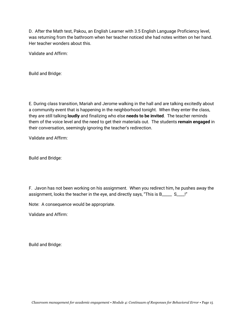D. After the Math test, Pakou, an English Learner with 3.5 English Language Proficiency level, was returning from the bathroom when her teacher noticed she had notes written on her hand. Her teacher wonders about this.

Validate and Affirm:

Build and Bridge:

E. During class transition, Mariah and Jerome walking in the hall and are talking excitedly about a community event that is happening in the neighborhood tonight. When they enter the class, they are still talking **loudly** and finalizing who else **needs to be invited**. The teacher reminds them of the voice level and the need to get their materials out. The students **remain engaged** in their conversation, seemingly ignoring the teacher's redirection.

Validate and Affirm:

Build and Bridge:

F. Javon has not been working on his assignment. When you redirect him, he pushes away the assignment, looks the teacher in the eye, and directly says, "This is B\_\_\_\_\_ S\_\_\_\_!"

Note: A consequence would be appropriate.

Validate and Affirm:

Build and Bridge: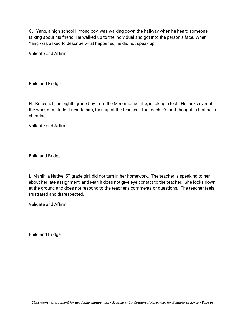G. Yang, a high school Hmong boy, was walking down the hallway when he heard someone talking about his friend. He walked up to the individual and got into the person's face. When Yang was asked to describe what happened, he did not speak up.

Validate and Affirm:

Build and Bridge:

H. Kenesaeh, an eighth grade boy from the Menomonie tribe, is taking a test. He looks over at the work of a student next to him, then up at the teacher. The teacher's first thought is that he is cheating.

Validate and Affirm:

Build and Bridge:

I. Manih, a Native, 5<sup>th</sup> grade girl, did not turn in her homework. The teacher is speaking to her about her late assignment, and Manih does not give eye contact to the teacher. She looks down at the ground and does not respond to the teacher's comments or questions. The teacher feels frustrated and disrespected.

Validate and Affirm:

Build and Bridge: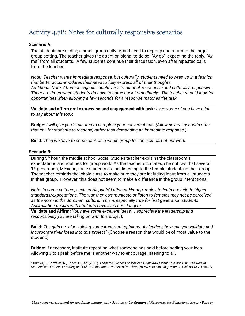# <span id="page-17-0"></span>Activity 4.7B: Notes for culturally responsive scenarios

#### **Scenario A:**

The students are ending a small group activity, and need to regroup and return to the larger group setting. The teacher gives the attention signal to do so, "Ay go", expecting the reply, "Ay me" from all students. A few students continue their discussion, even after repeated calls from the teacher.

*Note: Teacher wants immediate response, but culturally, students need to wrap up in a fashion that better accommodates their need to fully express all of their thoughts. Additional Note: Attention signals should vary: traditional, responsive and culturally responsive. There are times when students do have to come back immediately. The teacher should look for opportunities when allowing a few seconds for a response matches the task.*

**Validate and affirm oral expression and engagement with task:** *I see some of you have a lot to say about this topic.*

**Bridge:** *I will give you 2 minutes to complete your conversations. (Allow several seconds after that call for students to respond, rather than demanding an immediate response.)*

**Build:** *Then we have to come back as a whole group for the next part of our work.*

#### **Scenario B:**

During 5th hour, the middle school Social Studies teacher explains the classroom's expectations and routines for group work. As the teacher circulates, she notices that several 1<sup>st</sup> generation, Mexican, male students are not listening to the female students in their group. The teacher reminds the whole class to make sure they are including input from all students in their group. However, this does not seem to make a difference in the group interactions.

*Note: In some cultures, such as Hispanic\Latino or Hmong, male students are held to higher standards/expectations. The way they communicate or listen to females may not be perceived as the norm in the dominant culture. This is especially true for first generation students. Assimilation occurs with students have lived here longer.<sup>1</sup>*

**Validate and Affirm:** *You have some excellent ideas. I appreciate the leadership and responsibility you are taking on with this project.*

**Build:** *The girls are also voicing some important opinions. As leaders, how can you validate and incorporate their ideas into this project?* (Choose a reason that would be of most value to the student.)

**Bridge:** If necessary, institute repeating what someone has said before adding your idea. Allowing 3 to speak before me is another way to encourage listening to all.

<sup>1</sup> Dumka, L., Gonzales, N., Bonds, D., Etc. (2011). *Academic Success of Mexican Origin Adolescent Boys and Girls: The Role of Mothers' and Fathers' Parenting and Cultural Orientation. Retrieved from http://www.ncbi.nlm.nih.gov/pmc/articles/PMC3128498/*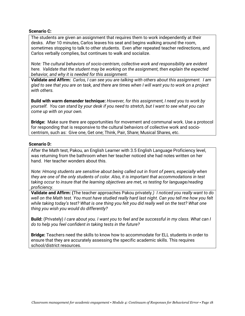#### **Scenario C:**

The students are given an assignment that requires them to work independently at their desks. After 10 minutes, Carlos leaves his seat and begins walking around the room, sometimes stopping to talk to other students. Even after repeated teacher redirections, and Carlos verbally complies, but continues to walk and socialize.

*Note: The cultural behaviors of socio-centrism, collective work and responsibility are evident here. Validate that the student may be working on the assignment, then explain the expected behavior, and why it is needed for this assignment.*

**Validate and Affirm:** *Carlos, I can see you are talking with others about this assignment. I am glad to see that you are on task, and there are times when I will want you to work on a project with others.* 

**Build with warm demander technique:** *However, for this assignment, I need you to work by yourself. You can stand by your desk if you need to stretch, but I want to see what you can come up with on your own.*

**Bridge:** Make sure there are opportunities for movement and communal work. Use a protocol for responding that is responsive to the cultural behaviors of collective work and sociocentrism, such as: Give one, Get one; Think, Pair, Share; Musical Shares, etc.

#### **Scenario D:**

After the Math test, Pakou, an English Learner with 3.5 English Language Proficiency level, was returning from the bathroom when her teacher noticed she had notes written on her hand. Her teacher wonders about this.

*Note: Hmong students are sensitive about being called out in front of peers, especially when they are one of the only students of color. Also, it is important that accommodations in test taking occur to insure that the learning objectives are met, vs testing for language/reading proficiency.* 

**Validate and Affirm: (**The teacher approaches Pakou privately*.) I noticed you really want to do well on the Math test. You must have studied really hard last night. Can you tell me how you felt while taking today's test? What is one thing you felt you did really well on the test? What one thing you wish you would do differently?*

**Build:** (Privately) *I care about you. I want you to feel and be successful in my class. What can I do to help you feel confident in taking tests in the future?*

**Bridge:** Teachers need the skills to know how to accommodate for ELL students in order to ensure that they are accurately assessing the specific academic skills. This requires school/district resources.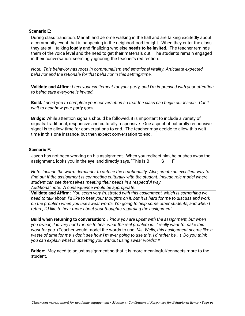#### **Scenario E:**

During class transition, Mariah and Jerome walking in the hall and are talking excitedly about a community event that is happening in the neighborhood tonight. When they enter the class, they are still talking **loudly** and finalizing who else **needs to be invited.** The teacher reminds them of the voice level and the need to get their materials out. The students remain engaged in their conversation, seemingly ignoring the teacher's redirection.

*Note: This behavior has roots in communalism and emotional vitality. Articulate expected behavior and the rationale for that behavior in this setting/time.* 

**Validate and Affirm:** *I feel your excitement for your party, and I'm impressed with your attention to being sure everyone is invited.*

**Build***: I need you to complete your conversation so that the class can begin our lesson. Can't wait to hear how your party goes.*

**Bridge:** While attention signals should be followed, it is important to include a variety of signals: traditional, responsive and culturally responsive. One aspect of culturally responsive signal is to allow time for conversations to end. The teacher may decide to allow this wait time in this one instance, but then expect conversation to end.

#### **Scenario F:**

Javon has not been working on his assignment. When you redirect him, he pushes away the assignment, looks you in the eye, and directly says, "This is B\_\_\_\_\_ S\_\_\_\_!"

*Note: Include the warm demander to defuse the emotionality. Also, create an excellent way to find out if the assignment is connecting culturally with the student. Include role model where student can see themselves meeting their needs in a respectful way. Additional note: A consequence would be appropriate.*

**Validate and Affirm:** *You seem very frustrated with this assignment, which is something we need to talk about. I'd like to hear your thoughts on it, but it is hard for me to discuss and work on the problem when you use swear words. I'm going to help some other students, and when I return, I'd like to hear more about your thoughts regarding the assignment.*

**Build when returning to conversation:** *I know you are upset with the assignment, but when you swear, it is very hard for me to hear what the real problem is. I really want to make this work for you.* (Teacher would model the words to use. *Ms. Wells, this assignment seems like a waste of time for me. I don't see how I'm ever going to use this. I'd rather be…* ) *Do you think you can explain what is upsetting you without using swear words?* \*

**Bridge:** May need to adjust assignment so that it is more meaningful/connects more to the student.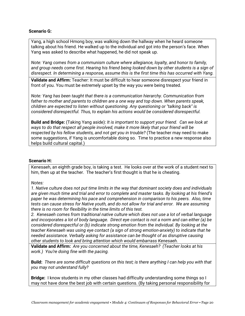#### **Scenario G:**

Yang, a high school Hmong boy, was walking down the hallway when he heard someone talking about his friend. He walked up to the individual and got into the person's face. When Yang was asked to describe what happened, he did not speak up.

*Note: Yang comes from a communism culture where allegiance, loyalty, and honor to family, and group needs come first. Hearing his friend being looked down by other students is a sign of disrespect. In determining a response, assume this is the first time this has occurred with Yang.*

**Validate and Affirm:** Teacher: It must be difficult to hear someone disrespect your friend in front of you. You must be extremely upset by the way you were being treated.

*Note: Yang has been taught that there is a communication hierarchy. Communication from father to mother and parents to children are a one way and top down. When parents speak, children are expected to listen without questioning. Any questioning or "talking back" is considered disrespectful. Thus, to explain his actions would be considered disrespectful.*

**Build and Bridge:** (Taking Yang aside): *It is important to support your friend. Can we look at ways to do that respect all people involved, make it more likely that your friend will be respected by his fellow students, and not get you in trouble?* (The teacher may need to make some suggestions, if Yang is uncomfortable doing so. Time to practice a new response also helps build cultural capital.)

#### **Scenario H:**

Kenesaeh, an eighth grade boy, is taking a test. He looks over at the work of a student next to him, then up at the teacher. The teacher's first thought is that he is cheating.

#### *Notes:*

*1. Native culture does not put time limits in the way that dominant society does and individuals are given much time and trial and error to complete and master tasks. By looking at his friend's paper he was determining his pace and comprehension in comparison to his peers. Also, time tests can cause stress for Native youth, and do not allow for trial and error. We are assuming there is no room for flexibility in the time limits of this test.*

*2. Kenesaeh comes from traditional native culture which does not use a lot of verbal language and incorporates a lot of body language. Direct eye contact is not a norm and can either (a) be considered disrespectful or (b) indicate strong emotion from the individual. By looking at the teacher Kenesaeh was using eye contact (a sign of strong emotion-anxiety) to indicate that he needed assistance. Verbally asking for assistance can be thought of as disruptive causing other students to look and bring attention which would embarrass Kenesaeh.*

**Validate and Affirm:** *Are you concerned about the time, Kenesaeh? (Teacher looks at his work.) You're doing fine with the pacing.*

**Build:** *There are some difficult questions on this test; is there anything I can help you with that you may not understand fully?* 

**Bridge:** I know students in my other classes had difficulty understanding some things so I may not have done the best job with certain questions. (By taking personal responsibility for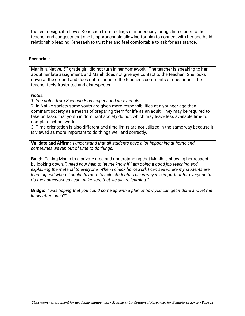the test design, it relieves Kenesaeh from feelings of inadequacy, brings him closer to the teacher and suggests that she is approachable allowing for him to connect with her and build relationship leading Kenesaeh to trust her and feel comfortable to ask for assistance.

#### **Scenario I:**

Manih, a Native,  $5<sup>th</sup>$  grade girl, did not turn in her homework. The teacher is speaking to her about her late assignment, and Manih does not give eye contact to the teacher. She looks down at the ground and does not respond to the teacher's comments or questions. The teacher feels frustrated and disrespected.

*Notes:* 

*1. See notes from Scenario E on respect and non-verbals.*

2. In Native society some youth are given more responsibilities at a younger age than dominant society as a means of preparing them for life as an adult. They may be required to take on tasks that youth in dominant society do not, which may leave less available time to complete school work.

3. Time orientation is also different and time limits are not utilized in the same way because it is viewed as more important to do things well and correctly.

**Validate and Affirm:** *I understand that all students have a lot happening at home and sometimes we run out of time to do things.*

**Build:** Taking Manih to a private area and understanding that Manih is showing her respect by looking down, *"I need your help to let me know if I am doing a good job teaching and explaining the material to everyone. When I check homework I can see where my students are learning and where I could do more to help students. This is why it is important for everyone to do the homework so I can make sure that we all are learning."* 

**Bridge:** *I was hoping that you could come up with a plan of how you can get it done and let me know after lunch?"*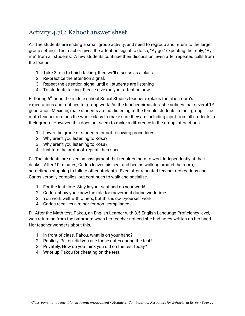# <span id="page-22-0"></span>Activity 4.7C: Kahoot answer sheet

A. The students are ending a small group activity, and need to regroup and return to the larger group setting. The teacher gives the attention signal to do so, "Ay go," expecting the reply, "Ay me" from all students. A few students continue their discussion, even after repeated calls from the teacher.

- 1. Take 2 min to finish talking, then we'll discuss as a class.
- 2. Re-practice the attention signal.
- 3. Repeat the attention signal until all students are listening
- 4. To students talking: Please give me your attention now.

B. During 5<sup>th</sup> hour, the middle school Social Studies teacher explains the classroom's expectations and routines for group work. As the teacher circulates, she notices that several 1<sup>st</sup> generation, Mexican, male students are not listening to the female students in their group. The math teacher reminds the whole class to make sure they are including input from all students in their group. However, this does not seem to make a difference in the group interactions.

- 1. Lower the grade of students for not following procedures
- 2. Why aren't you listening to Rosa?
- 3. Why aren't you listening to Rosa?
- 4. Institute the protocol: repeat, then speak

C. The students are given an assignment that requires them to work independently at their desks. After 10 minutes, Carlos leaves his seat and begins walking around the room, sometimes stopping to talk to other students. Even after repeated teacher redirections and Carlos verbally complies, but continues to walk and socialize.

- 1. For the last time. Stay in your seat and do your work!
- 2. Carlos, show you know the rule for movement during work time
- 3. You work well with others, but this is do-it-yourself work.
- 4. Carlos receives a minor for non- compliance.

D. After the Math test, Pakou, an English Learner with 3.5 English Language Proficiency level, was returning from the bathroom when her teacher noticed she had notes written on her hand. Her teacher wonders about this.

- 1. In front of class, Pakou, what is on your hand?
- 2. Publicly, Pakou, did you use those notes during the test?
- 3. Privately, How do you think you did on the test today?
- 4. Write up Pakou for cheating on the test.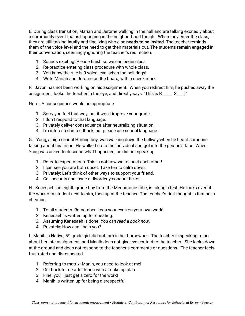E. During class transition, Mariah and Jerome walking in the hall and are talking excitedly about a community event that is happening in the neighborhood tonight. When they enter the class, they are still talking **loudly** and finalizing who else **needs to be invited**. The teacher reminds them of the voice level and the need to get their materials out. The students **remain engaged** in their conversation, seemingly ignoring the teacher's redirection.

- 1. Sounds exciting! Please finish so we can begin class.
- 2. Re-practice entering class procedure with whole class.
- 3. You know the rule is 0 voice level when the bell rings!
- 4. Write Mariah and Jerome on the board, with a check mark.

F. Javon has not been working on his assignment. When you redirect him, he pushes away the assignment, looks the teacher in the eye, and directly says, "This is B\_\_\_\_\_ S\_\_\_\_!"

Note: A consequence would be appropriate.

- 1. Sorry you feel that way, but it won't improve your grade.
- 2. I don't respond to that language.
- 3. Privately deliver consequence after neutralizing situation.
- 4. I'm interested in feedback, but please use school language.

G. Yang, a high school Hmong boy, was walking down the hallway when he heard someone talking about his friend. He walked up to the individual and got into the person's face. When Yang was asked to describe what happened, he did not speak up.

- 1. Refer to expectations: This is not how we respect each other!
- 2. I can see you are both upset. Take ten to calm down.
- 3. Privately: Let's think of other ways to support your friend.
- 4. Call security and issue a disorderly conduct ticket.

H. Kenesaeh, an eighth grade boy from the Menomonie tribe, is taking a test. He looks over at the work of a student next to him, then up at the teacher. The teacher's first thought is that he is cheating.

- 1. To all students: Remember, keep your eyes on your own work!
- 2. Kenesaeh is written up for cheating.
- *3.* Assuming Kenesaeh is done: *You can read a book now.*
- 4. Privately: How can I help you?

I. Manih, a Native,  $5<sup>th</sup>$  grade girl, did not turn in her homework. The teacher is speaking to her about her late assignment, and Manih does not give eye contact to the teacher. She looks down at the ground and does not respond to the teacher's comments or questions. The teacher feels frustrated and disrespected.

- 1. Referring to matrix: Manih, you need to look at me!
- 2. Get back to me after lunch with a make-up plan.
- 3. Fine! you'll just get a zero for the work!
- 4. Manih is written up for being disrespectful.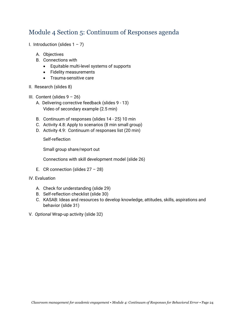## <span id="page-24-0"></span>Module 4 Section 5: Continuum of Responses agenda

- I. Introduction (slides  $1 7$ )
	- A. Objectives
	- B. Connections with
		- Equitable multi-level systems of supports
		- Fidelity measurements
		- Trauma-sensitive care
- II. Research (slides 8)
- III. Content (slides  $9 26$ )
	- A. Delivering corrective feedback (slides 9 13) Video of secondary example (2.5 min)
	- B. Continuum of responses (slides 14 25) 10 min
	- C. Activity 4.8: Apply to scenarios (8 min small group)
	- D. Activity 4.9: Continuum of responses list (20 min)

Self-reflection

Small group share/report out

Connections with skill development model (slide 26)

- E. CR connection (slides  $27 28$ )
- IV. Evaluation
	- A. Check for understanding (slide 29)
	- B. Self-reflection checklist (slide 30)
	- C. KASAB: Ideas and resources to develop knowledge, attitudes, skills, aspirations and behavior (slide 31)
- V. *Optional* Wrap-up activity (slide 32)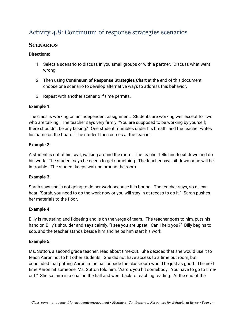# <span id="page-25-0"></span>Activity 4.8: Continuum of response strategies scenarios

## <span id="page-25-1"></span>**SCENARIOS**

## **Directions:**

- 1. Select a scenario to discuss in you small groups or with a partner. Discuss what went wrong.
- 2. Then using **Continuum of Response Strategies Chart** at the end of this document, choose one scenario to develop alternative ways to address this behavior.
- 3. Repeat with another scenario if time permits.

## **Example 1:**

The class is working on an independent assignment. Students are working well except for two who are talking. The teacher says very firmly, "You are supposed to be working by yourself; there shouldn't be any talking." One student mumbles under his breath, and the teacher writes his name on the board. The student then curses at the teacher.

## **Example 2:**

A student is out of his seat, walking around the room. The teacher tells him to sit down and do his work. The student says he needs to get something. The teacher says sit down or he will be in trouble. The student keeps walking around the room.

## **Example 3:**

Sarah says she is not going to do her work because it is boring. The teacher says, so all can hear, "Sarah, you need to do the work now or you will stay in at recess to do it." Sarah pushes her materials to the floor.

## **Example 4:**

Billy is muttering and fidgeting and is on the verge of tears. The teacher goes to him, puts his hand on Billy's shoulder and says calmly, "I see you are upset. Can I help you?" Billy begins to sob, and the teacher stands beside him and helps him start his work.

## **Example 5:**

Ms. Sutton, a second grade teacher, read about time-out. She decided that she would use it to teach Aaron not to hit other students. She did not have access to a time out room, but concluded that putting Aaron in the hall outside the classroom would be just as good. The next time Aaron hit someone, Ms. Sutton told him, "Aaron, you hit somebody. You have to go to timeout." She sat him in a chair in the hall and went back to teaching reading. At the end of the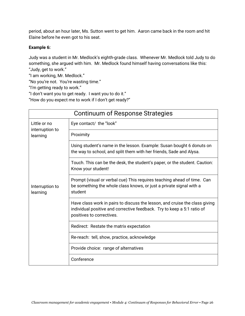period, about an hour later, Ms. Sutton went to get him. Aaron came back in the room and hit Elaine before he even got to his seat.

## **Example 6:**

Judy was a student in Mr. Medlock's eighth-grade class. Whenever Mr. Medlock told Judy to do something, she argued with him. Mr. Medlock found himself having conversations like this: "Judy, get to work."

"I am working, Mr. Medlock."

"No you're not. You're wasting time."

"I'm getting ready to work."

"I don't want you to get ready. I want you to do it."

"How do you expect me to work if I don't get ready?"

| Continuum of Response Strategies |                                                                                                                                                                                     |  |  |
|----------------------------------|-------------------------------------------------------------------------------------------------------------------------------------------------------------------------------------|--|--|
| Little or no                     | Eye contact/ the "look"                                                                                                                                                             |  |  |
| interruption to<br>learning      | Proximity                                                                                                                                                                           |  |  |
|                                  | Using student's name in the lesson. Example: Susan bought 6 donuts on<br>the way to school, and split them with her friends, Sade and Alysa.                                        |  |  |
|                                  | Touch. This can be the desk, the student's paper, or the student. Caution:<br>Know your student!                                                                                    |  |  |
| Interruption to<br>learning      | Prompt (visual or verbal cue) This requires teaching ahead of time. Can<br>be something the whole class knows, or just a private signal with a<br>student                           |  |  |
|                                  | Have class work in pairs to discuss the lesson, and cruise the class giving<br>individual positive and corrective feedback. Try to keep a 5:1 ratio of<br>positives to correctives. |  |  |
|                                  | Redirect: Restate the matrix expectation                                                                                                                                            |  |  |
|                                  | Re-reach: tell, show, practice, acknowledge                                                                                                                                         |  |  |
|                                  | Provide choice: range of alternatives                                                                                                                                               |  |  |
|                                  | Conference                                                                                                                                                                          |  |  |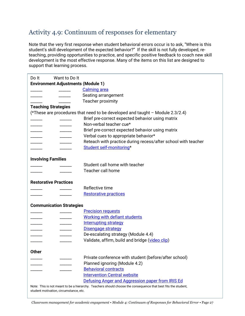# <span id="page-27-0"></span>Activity 4.9: Continuum of responses for elementary

Note that the very first response when student behavioral errors occur is to ask, "Where is this student's skill development of the expected behavior?" If the skill is not fully developed, reteaching, providing opportunities to practice, and specific positive feedback to coach new skill development is the most effective response. Many of the items on this list are designed to support that learning process.

| Want to Do It<br>Do It                    |                                                                                                               |
|-------------------------------------------|---------------------------------------------------------------------------------------------------------------|
| <b>Environment Adjustments (Module 1)</b> |                                                                                                               |
|                                           | <b>Calming area</b>                                                                                           |
|                                           | Seating arrangement                                                                                           |
|                                           | Teacher proximity                                                                                             |
| <b>Teaching Strategies</b>                |                                                                                                               |
|                                           | (*These are procedures that need to be developed and taught - Module 2.3/2.4)                                 |
|                                           | Brief pre-correct expected behavior using matrix                                                              |
|                                           | Non-verbal teacher cue*                                                                                       |
|                                           | Brief pre-correct expected behavior using matrix                                                              |
| $\frac{1}{1}$<br>______                   | Verbal cues to appropriate behavior*                                                                          |
|                                           | Reteach with practice during recess/after school with teacher                                                 |
|                                           | Student self-monitoring*                                                                                      |
| <b>Involving Families</b>                 |                                                                                                               |
|                                           | Student call home with teacher                                                                                |
|                                           | <b>Teacher call home</b>                                                                                      |
| <b>Restorative Practices</b>              |                                                                                                               |
|                                           | Reflective time                                                                                               |
|                                           | <b>Restorative practices</b>                                                                                  |
| <b>Communication Strategies</b>           |                                                                                                               |
|                                           | <b>Precision requests</b>                                                                                     |
|                                           | <b>Working with defiant students</b>                                                                          |
|                                           | <b>Interrupting strategy</b>                                                                                  |
|                                           | <b>Disengage strategy</b>                                                                                     |
|                                           | De-escalating strategy (Module 4.4)                                                                           |
|                                           | Validate, affirm, build and bridge (video clip)                                                               |
| <b>Other</b>                              |                                                                                                               |
|                                           | Private conference with student (before/after school)                                                         |
|                                           | Planned ignoring (Module 4.2)                                                                                 |
|                                           | <b>Behavioral contracts</b>                                                                                   |
|                                           | <b>Intervention Central website</b>                                                                           |
|                                           | Defusing Anger and Aggression paper from IRIS Ed                                                              |
| student motivation, circumstance, etc.    | Note: This is not meant to be a hierarchy. Teachers should choose the consequence that best fits the student, |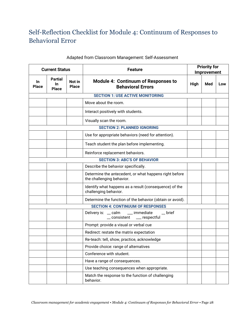# <span id="page-28-0"></span>Self-Reflection Checklist for Module 4: Continuum of Responses to Behavioral Error

| <b>Current Status</b>                   |                                          |                        | <b>Feature</b>                                                                          |      | <b>Priority for</b><br>Improvement |     |
|-----------------------------------------|------------------------------------------|------------------------|-----------------------------------------------------------------------------------------|------|------------------------------------|-----|
| <b>In</b><br><b>Place</b>               | <b>Partial</b><br>In<br><b>Place</b>     | Not in<br><b>Place</b> | <b>Module 4: Continuum of Responses to</b><br><b>Behavioral Errors</b>                  | High | Med                                | Low |
| <b>SECTION 1: USE ACTIVE MONITORING</b> |                                          |                        |                                                                                         |      |                                    |     |
|                                         |                                          |                        | Move about the room.                                                                    |      |                                    |     |
|                                         |                                          |                        | Interact positively with students.                                                      |      |                                    |     |
|                                         |                                          |                        | Visually scan the room.                                                                 |      |                                    |     |
|                                         |                                          |                        | <b>SECTION 2: PLANNED IGNORING</b>                                                      |      |                                    |     |
|                                         |                                          |                        | Use for appropriate behaviors (need for attention).                                     |      |                                    |     |
|                                         |                                          |                        | Teach student the plan before implementing.                                             |      |                                    |     |
|                                         |                                          |                        | Reinforce replacement behaviors.                                                        |      |                                    |     |
|                                         |                                          |                        | <b>SECTION 3: ABC'S OF BEHAVIOR</b>                                                     |      |                                    |     |
|                                         |                                          |                        | Describe the behavior specifically.                                                     |      |                                    |     |
|                                         |                                          |                        | Determine the antecedent, or what happens right before<br>the challenging behavior.     |      |                                    |     |
|                                         |                                          |                        | Identify what happens as a result (consequence) of the<br>challenging behavior.         |      |                                    |     |
|                                         |                                          |                        | Determine the function of the behavior (obtain or avoid).                               |      |                                    |     |
|                                         | <b>SECTION 4: CONTINUUM OF RESPONSES</b> |                        |                                                                                         |      |                                    |     |
|                                         |                                          |                        | Delivery is: _ calm<br>__ immediate<br>$_{\rm{}}$ brief<br>__ consistent ___ respectful |      |                                    |     |
|                                         |                                          |                        | Prompt: provide a visual or verbal cue                                                  |      |                                    |     |
|                                         |                                          |                        | Redirect: restate the matrix expectation                                                |      |                                    |     |
|                                         |                                          |                        | Re-teach: tell, show, practice, acknowledge                                             |      |                                    |     |
|                                         |                                          |                        | Provide choice: range of alternatives                                                   |      |                                    |     |
|                                         |                                          |                        | Conference with student.                                                                |      |                                    |     |
|                                         |                                          |                        | Have a range of consequences.                                                           |      |                                    |     |
|                                         |                                          |                        | Use teaching consequences when appropriate.                                             |      |                                    |     |
|                                         |                                          |                        | Match the response to the function of challenging<br>behavior.                          |      |                                    |     |

## Adapted from Classroom Management: Self-Assessment